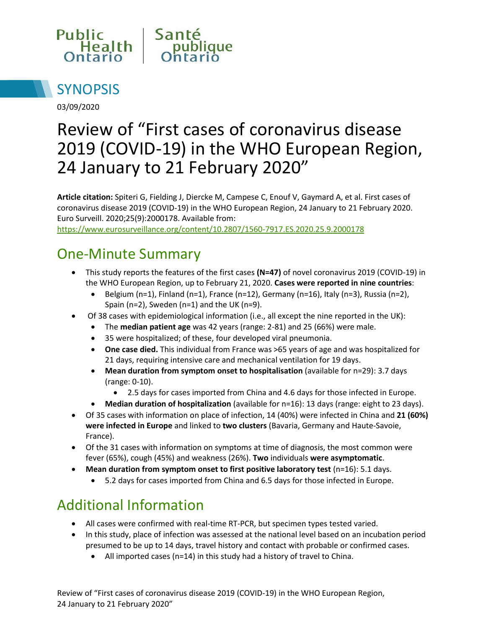



03/09/2020

# Review of "First cases of coronavirus disease 2019 (COVID-19) in the WHO European Region, 24 January to 21 February 2020"

**Article citation:** Spiteri G, Fielding J, Diercke M, Campese C, Enouf V, Gaymard A, et al. First cases of coronavirus disease 2019 (COVID-19) in the WHO European Region, 24 January to 21 February 2020. Euro Surveill. 2020;25(9):2000178. Available from:

<https://www.eurosurveillance.org/content/10.2807/1560-7917.ES.2020.25.9.2000178>

### One-Minute Summary

- This study reports the features of the first cases **(N=47)** of novel coronavirus 2019 (COVID-19) in the WHO European Region, up to February 21, 2020. **Cases were reported in nine countries**:
	- $\bullet$  Belgium (n=1), Finland (n=1), France (n=12), Germany (n=16), Italy (n=3), Russia (n=2), Spain (n=2), Sweden (n=1) and the UK (n=9).
- Of 38 cases with epidemiological information (i.e., all except the nine reported in the UK):
	- The **median patient age** was 42 years (range: 2-81) and 25 (66%) were male.
	- 35 were hospitalized; of these, four developed viral pneumonia.
	- **One case died.** This individual from France was >65 years of age and was hospitalized for 21 days, requiring intensive care and mechanical ventilation for 19 days.
	- **Mean duration from symptom onset to hospitalisation** (available for n=29): 3.7 days (range: 0-10).
		- 2.5 days for cases imported from China and 4.6 days for those infected in Europe.
	- **Median duration of hospitalization** (available for n=16): 13 days (range: eight to 23 days).
- Of 35 cases with information on place of infection, 14 (40%) were infected in China and **21 (60%) were infected in Europe** and linked to **two clusters** (Bavaria, Germany and Haute-Savoie, France).
- Of the 31 cases with information on symptoms at time of diagnosis, the most common were fever (65%), cough (45%) and weakness (26%). **Two** individuals **were asymptomatic**.
- **Mean duration from symptom onset to first positive laboratory test** (n=16): 5.1 days.
	- 5.2 days for cases imported from China and 6.5 days for those infected in Europe.

### Additional Information

- All cases were confirmed with real-time RT-PCR, but specimen types tested varied.
- In this study, place of infection was assessed at the national level based on an incubation period presumed to be up to 14 days, travel history and contact with probable or confirmed cases.
	- All imported cases (n=14) in this study had a history of travel to China.